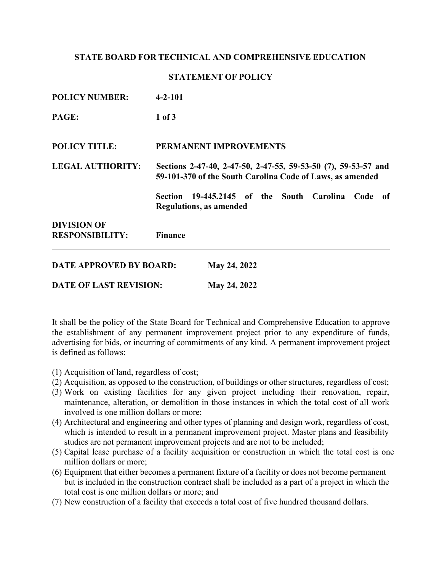### **STATE BOARD FOR TECHNICAL AND COMPREHENSIVE EDUCATION**

#### **STATEMENT OF POLICY**

| <b>POLICY NUMBER:</b>          | $4 - 2 - 101$                                                                                                               |  |
|--------------------------------|-----------------------------------------------------------------------------------------------------------------------------|--|
| PAGE:                          | $1$ of $3$                                                                                                                  |  |
| <b>POLICY TITLE:</b>           | PERMANENT IMPROVEMENTS                                                                                                      |  |
| <b>LEGAL AUTHORITY:</b>        | Sections 2-47-40, 2-47-50, 2-47-55, 59-53-50 (7), 59-53-57 and<br>59-101-370 of the South Carolina Code of Laws, as amended |  |
|                                | Section 19-445.2145 of the South Carolina<br>Code<br>- of<br><b>Regulations, as amended</b>                                 |  |
| <b>DIVISION OF</b>             |                                                                                                                             |  |
| <b>RESPONSIBILITY:</b>         | <b>Finance</b>                                                                                                              |  |
| <b>DATE APPROVED BY BOARD:</b> | May 24, 2022                                                                                                                |  |
| <b>DATE OF LAST REVISION:</b>  | May 24, 2022                                                                                                                |  |

It shall be the policy of the State Board for Technical and Comprehensive Education to approve the establishment of any permanent improvement project prior to any expenditure of funds, advertising for bids, or incurring of commitments of any kind. A permanent improvement project is defined as follows:

- (1) Acquisition of land, regardless of cost;
- (2) Acquisition, as opposed to the construction, of buildings or other structures, regardless of cost;
- (3) Work on existing facilities for any given project including their renovation, repair, maintenance, alteration, or demolition in those instances in which the total cost of all work involved is one million dollars or more;
- (4) Architectural and engineering and other types of planning and design work, regardless of cost, which is intended to result in a permanent improvement project. Master plans and feasibility studies are not permanent improvement projects and are not to be included;
- (5) Capital lease purchase of a facility acquisition or construction in which the total cost is one million dollars or more;
- (6) Equipment that either becomes a permanent fixture of a facility or does not become permanent but is included in the construction contract shall be included as a part of a project in which the total cost is one million dollars or more; and
- (7) New construction of a facility that exceeds a total cost of five hundred thousand dollars.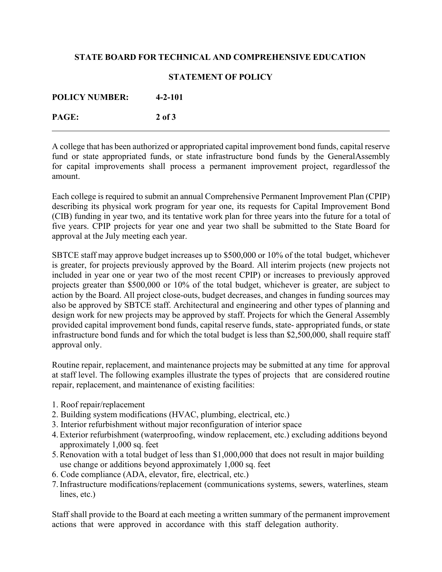# **STATE BOARD FOR TECHNICAL AND COMPREHENSIVE EDUCATION**

## **STATEMENT OF POLICY**

| <b>POLICY NUMBER:</b> | $4 - 2 - 101$ |
|-----------------------|---------------|
| PAGE:                 | 2 of 3        |

A college that has been authorized or appropriated capital improvement bond funds, capital reserve fund or state appropriated funds, or state infrastructure bond funds by the GeneralAssembly for capital improvements shall process a permanent improvement project, regardlessof the amount.

Each college is required to submit an annual Comprehensive Permanent Improvement Plan (CPIP) describing its physical work program for year one, its requests for Capital Improvement Bond (CIB) funding in year two, and its tentative work plan for three years into the future for a total of five years. CPIP projects for year one and year two shall be submitted to the State Board for approval at the July meeting each year.

SBTCE staff may approve budget increases up to \$500,000 or 10% of the total budget, whichever is greater, for projects previously approved by the Board. All interim projects (new projects not included in year one or year two of the most recent CPIP) or increases to previously approved projects greater than \$500,000 or 10% of the total budget, whichever is greater, are subject to action by the Board. All project close-outs, budget decreases, and changes in funding sources may also be approved by SBTCE staff. Architectural and engineering and other types of planning and design work for new projects may be approved by staff. Projects for which the General Assembly provided capital improvement bond funds, capital reserve funds, state- appropriated funds, or state infrastructure bond funds and for which the total budget is less than \$2,500,000, shall require staff approval only.

Routine repair, replacement, and maintenance projects may be submitted at any time for approval at staff level. The following examples illustrate the types of projects that are considered routine repair, replacement, and maintenance of existing facilities:

- 1. Roof repair/replacement
- 2. Building system modifications (HVAC, plumbing, electrical, etc.)
- 3. Interior refurbishment without major reconfiguration of interior space
- 4.Exterior refurbishment (waterproofing, window replacement, etc.) excluding additions beyond approximately 1,000 sq. feet
- 5.Renovation with a total budget of less than \$1,000,000 that does not result in major building use change or additions beyond approximately 1,000 sq. feet
- 6. Code compliance (ADA, elevator, fire, electrical, etc.)
- 7.Infrastructure modifications/replacement (communications systems, sewers, waterlines, steam lines, etc.)

Staff shall provide to the Board at each meeting a written summary of the permanent improvement actions that were approved in accordance with this staff delegation authority.